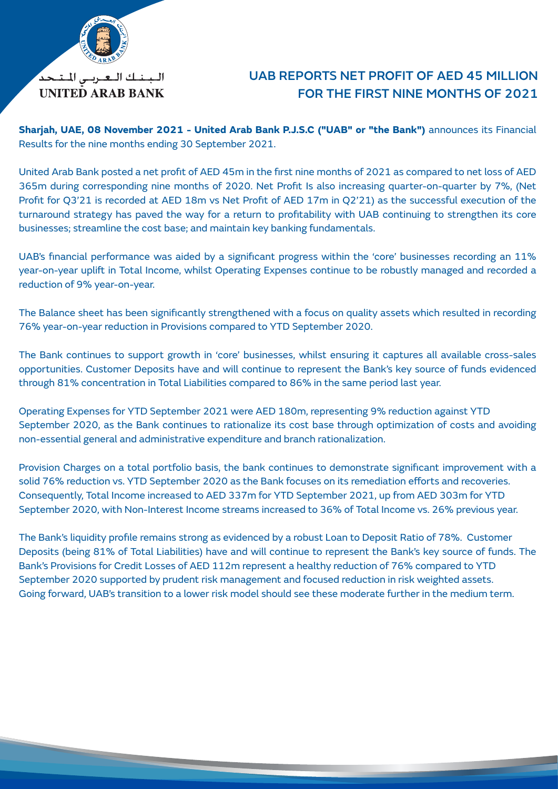

## UAB REPORTS NET PROFIT OF AED 45 MILLION FOR THE FIRST NINE MONTHS OF 2021

**Sharjah, UAE, 08 November 2021 - United Arab Bank P.J.S.C ("UAB" or "the Bank")** announces its Financial Results for the nine months ending 30 September 2021.

United Arab Bank posted a net profit of AED 45m in the first nine months of 2021 as compared to net loss of AED 365m during corresponding nine months of 2020. Net Profit Is also increasing quarter-on-quarter by 7%, (Net Profit for Q3'21 is recorded at AED 18m vs Net Profit of AED 17m in Q2'21) as the successful execution of the turnaround strategy has paved the way for a return to profitability with UAB continuing to strengthen its core businesses; streamline the cost base; and maintain key banking fundamentals.

UAB's financial performance was aided by a significant progress within the 'core' businesses recording an 11% year-on-year uplift in Total Income, whilst Operating Expenses continue to be robustly managed and recorded a reduction of 9% year-on-year.

The Balance sheet has been significantly strengthened with a focus on quality assets which resulted in recording 76% year-on-year reduction in Provisions compared to YTD September 2020.

The Bank continues to support growth in 'core' businesses, whilst ensuring it captures all available cross-sales opportunities. Customer Deposits have and will continue to represent the Bank's key source of funds evidenced through 81% concentration in Total Liabilities compared to 86% in the same period last year.

Operating Expenses for YTD September 2021 were AED 180m, representing 9% reduction against YTD September 2020, as the Bank continues to rationalize its cost base through optimization of costs and avoiding non-essential general and administrative expenditure and branch rationalization.

Provision Charges on a total portfolio basis, the bank continues to demonstrate significant improvement with a solid 76% reduction vs. YTD September 2020 as the Bank focuses on its remediation efforts and recoveries. Consequently, Total Income increased to AED 337m for YTD September 2021, up from AED 303m for YTD September 2020, with Non-Interest Income streams increased to 36% of Total Income vs. 26% previous year.

The Bank's liquidity profile remains strong as evidenced by a robust Loan to Deposit Ratio of 78%. Customer Deposits (being 81% of Total Liabilities) have and will continue to represent the Bank's key source of funds. The Bank's Provisions for Credit Losses of AED 112m represent a healthy reduction of 76% compared to YTD September 2020 supported by prudent risk management and focused reduction in risk weighted assets. Going forward, UAB's transition to a lower risk model should see these moderate further in the medium term.